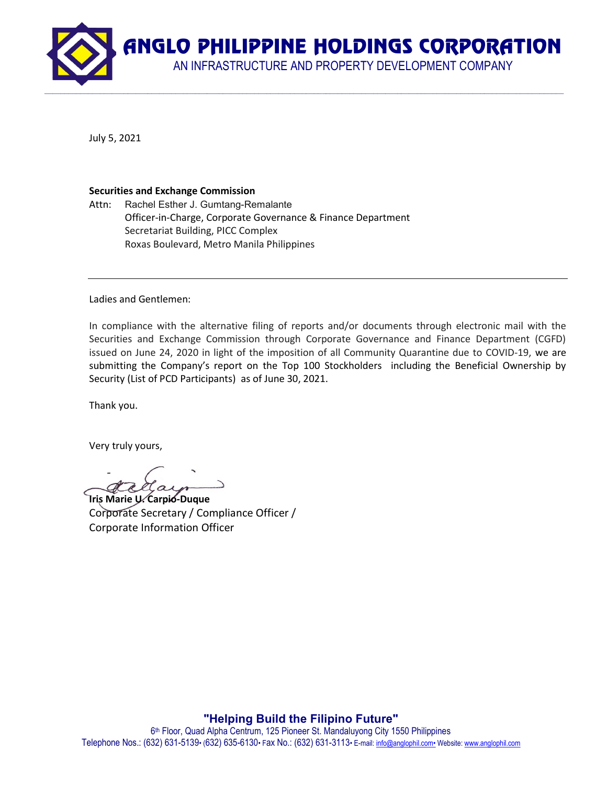AN INFRASTRUCTURE AND PROPERTY DEVELOPMENT COMPANY

 $\mathcal{L} = \{ \mathcal{L} = \{ \mathcal{L} = \{ \mathcal{L} = \{ \mathcal{L} = \{ \mathcal{L} = \{ \mathcal{L} = \{ \mathcal{L} = \{ \mathcal{L} = \{ \mathcal{L} = \{ \mathcal{L} = \{ \mathcal{L} = \{ \mathcal{L} = \{ \mathcal{L} = \{ \mathcal{L} = \{ \mathcal{L} = \{ \mathcal{L} = \{ \mathcal{L} = \{ \mathcal{L} = \{ \mathcal{L} = \{ \mathcal{L} = \{ \mathcal{L} = \{ \mathcal{L} = \{ \mathcal{L} = \{ \mathcal{$ 

July 5, 2021

#### Securities and Exchange Commission

Attn: Rachel Esther J. Gumtang-Remalante Officer-in-Charge, Corporate Governance & Finance Department Secretariat Building, PICC Complex Roxas Boulevard, Metro Manila Philippines

Ladies and Gentlemen:

In compliance with the alternative filing of reports and/or documents through electronic mail with the Securities and Exchange Commission through Corporate Governance and Finance Department (CGFD) issued on June 24, 2020 in light of the imposition of all Community Quarantine due to COVID-19, we are submitting the Company's report on the Top 100 Stockholders including the Beneficial Ownership by Security (List of PCD Participants) as of June 30, 2021.

Thank you.

Very truly yours,

-

Iris Marie U. Carpio-Duque Corporate Secretary / Compliance Officer / Corporate Information Officer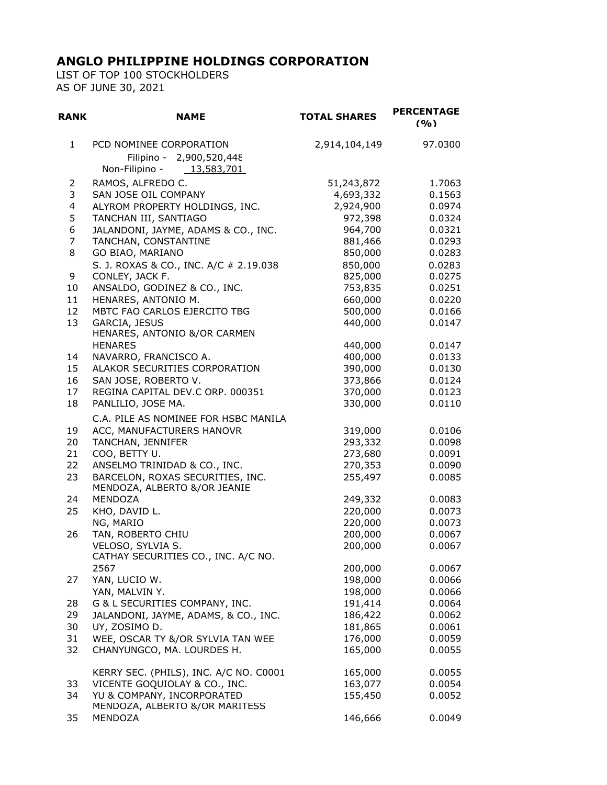LIST OF TOP 100 STOCKHOLDERS AS OF JUNE 30, 2021

| <b>RANK</b>  | <b>NAME</b>                                                                         | <b>TOTAL SHARES</b> | <b>PERCENTAGE</b><br>(9/0) |
|--------------|-------------------------------------------------------------------------------------|---------------------|----------------------------|
| $\mathbf{1}$ | PCD NOMINEE CORPORATION<br>Filipino - 2,900,520,448<br>Non-Filipino -<br>13,583,701 | 2,914,104,149       | 97.0300                    |
| 2            | RAMOS, ALFREDO C.                                                                   | 51,243,872          | 1.7063                     |
| 3            | SAN JOSE OIL COMPANY                                                                | 4,693,332           | 0.1563                     |
| 4            | ALYROM PROPERTY HOLDINGS, INC.                                                      | 2,924,900           | 0.0974                     |
| 5            | TANCHAN III, SANTIAGO                                                               | 972,398             | 0.0324                     |
| 6            | JALANDONI, JAYME, ADAMS & CO., INC.                                                 | 964,700             | 0.0321                     |
| 7            | TANCHAN, CONSTANTINE                                                                | 881,466             | 0.0293                     |
| 8            | GO BIAO, MARIANO                                                                    | 850,000             | 0.0283                     |
|              |                                                                                     |                     |                            |
|              | S. J. ROXAS & CO., INC. A/C # 2.19.038                                              | 850,000             | 0.0283                     |
| 9            | CONLEY, JACK F.                                                                     | 825,000             | 0.0275                     |
| 10           | ANSALDO, GODINEZ & CO., INC.                                                        | 753,835             | 0.0251                     |
| 11           | HENARES, ANTONIO M.                                                                 | 660,000             | 0.0220                     |
| 12           | MBTC FAO CARLOS EJERCITO TBG                                                        | 500,000             | 0.0166                     |
| 13           | GARCIA, JESUS<br>HENARES, ANTONIO &/OR CARMEN                                       | 440,000             | 0.0147                     |
|              | <b>HENARES</b>                                                                      | 440,000             | 0.0147                     |
|              | NAVARRO, FRANCISCO A.                                                               | 400,000             | 0.0133                     |
| 14<br>15     | ALAKOR SECURITIES CORPORATION                                                       | 390,000             | 0.0130                     |
| 16           | SAN JOSE, ROBERTO V.                                                                | 373,866             | 0.0124                     |
| 17           | REGINA CAPITAL DEV.C ORP. 000351                                                    | 370,000             | 0.0123                     |
| 18           | PANLILIO, JOSE MA.                                                                  | 330,000             | 0.0110                     |
|              |                                                                                     |                     |                            |
|              | C.A. PILE AS NOMINEE FOR HSBC MANILA                                                |                     |                            |
| 19           | ACC, MANUFACTURERS HANOVR                                                           | 319,000             | 0.0106                     |
| 20           | TANCHAN, JENNIFER                                                                   | 293,332             | 0.0098                     |
| 21           | COO, BETTY U.                                                                       | 273,680             | 0.0091                     |
| 22           | ANSELMO TRINIDAD & CO., INC.                                                        | 270,353             | 0.0090                     |
| 23           | BARCELON, ROXAS SECURITIES, INC.<br>MENDOZA, ALBERTO &/OR JEANIE                    | 255,497             | 0.0085                     |
| 24           | MENDOZA                                                                             | 249,332             | 0.0083                     |
| 25           | KHO, DAVID L.                                                                       | 220,000             | 0.0073                     |
|              | NG, MARIO                                                                           | 220,000             | 0.0073                     |
| 26           | TAN, ROBERTO CHIU                                                                   | 200,000             | 0.0067                     |
|              | VELOSO, SYLVIA S.<br>CATHAY SECURITIES CO., INC. A/C NO.                            | 200,000             | 0.0067                     |
|              | 2567                                                                                | 200,000             | 0.0067                     |
| 27           | YAN, LUCIO W.                                                                       | 198,000             | 0.0066                     |
|              | YAN, MALVIN Y.                                                                      | 198,000             | 0.0066                     |
| 28           | G & L SECURITIES COMPANY, INC.                                                      | 191,414             | 0.0064                     |
| 29           | JALANDONI, JAYME, ADAMS, & CO., INC.                                                | 186,422             | 0.0062                     |
| 30           | UY, ZOSIMO D.                                                                       | 181,865             | 0.0061                     |
| 31           | WEE, OSCAR TY &/OR SYLVIA TAN WEE                                                   | 176,000             | 0.0059                     |
| 32           | CHANYUNGCO, MA. LOURDES H.                                                          | 165,000             | 0.0055                     |
|              | KERRY SEC. (PHILS), INC. A/C NO. C0001                                              | 165,000             | 0.0055                     |
| 33           | VICENTE GOQUIOLAY & CO., INC.                                                       | 163,077             | 0.0054                     |
| 34           | YU & COMPANY, INCORPORATED<br>MENDOZA, ALBERTO &/OR MARITESS                        | 155,450             | 0.0052                     |
| 35           | MENDOZA                                                                             | 146,666             | 0.0049                     |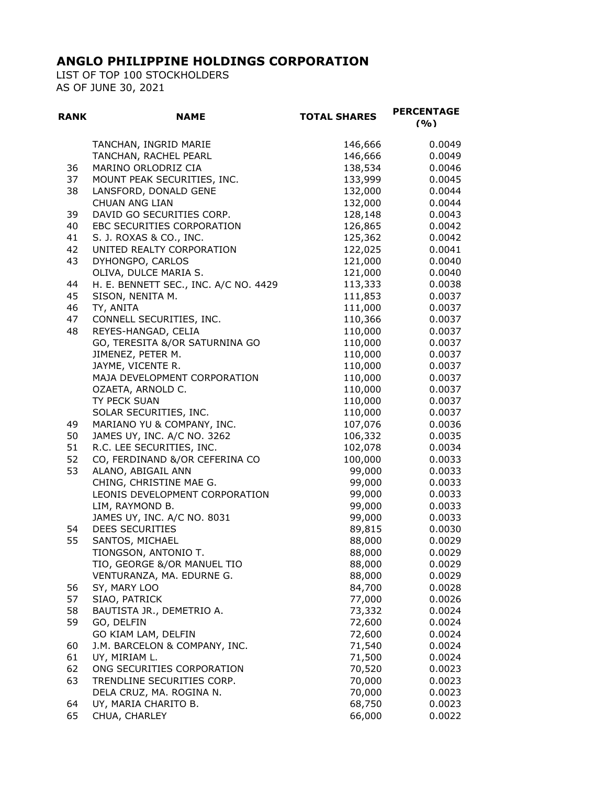LIST OF TOP 100 STOCKHOLDERS AS OF JUNE 30, 2021

| <b>RANK</b> | <b>NAME</b>                           | <b>TOTAL SHARES</b> | <b>PERCENTAGE</b><br>(9/0) |
|-------------|---------------------------------------|---------------------|----------------------------|
|             | TANCHAN, INGRID MARIE                 | 146,666             | 0.0049                     |
|             | TANCHAN, RACHEL PEARL                 | 146,666             | 0.0049                     |
| 36          | MARINO ORLODRIZ CIA                   | 138,534             | 0.0046                     |
| 37          | MOUNT PEAK SECURITIES, INC.           | 133,999             | 0.0045                     |
| 38          | LANSFORD, DONALD GENE                 | 132,000             | 0.0044                     |
|             | <b>CHUAN ANG LIAN</b>                 | 132,000             | 0.0044                     |
| 39          | DAVID GO SECURITIES CORP.             | 128,148             | 0.0043                     |
| 40          | EBC SECURITIES CORPORATION            | 126,865             | 0.0042                     |
| 41          | S. J. ROXAS & CO., INC.               | 125,362             | 0.0042                     |
| 42          | UNITED REALTY CORPORATION             | 122,025             | 0.0041                     |
| 43          | DYHONGPO, CARLOS                      | 121,000             | 0.0040                     |
|             | OLIVA, DULCE MARIA S.                 | 121,000             | 0.0040                     |
| 44          | H. E. BENNETT SEC., INC. A/C NO. 4429 | 113,333             | 0.0038                     |
| 45          | SISON, NENITA M.                      | 111,853             | 0.0037                     |
| 46          | TY, ANITA                             | 111,000             | 0.0037                     |
| 47          | CONNELL SECURITIES, INC.              | 110,366             | 0.0037                     |
| 48          | REYES-HANGAD, CELIA                   | 110,000             | 0.0037                     |
|             | GO, TERESITA &/OR SATURNINA GO        | 110,000             | 0.0037                     |
|             | JIMENEZ, PETER M.                     | 110,000             | 0.0037                     |
|             | JAYME, VICENTE R.                     | 110,000             | 0.0037                     |
|             | MAJA DEVELOPMENT CORPORATION          | 110,000             | 0.0037                     |
|             | OZAETA, ARNOLD C.                     | 110,000             | 0.0037                     |
|             | TY PECK SUAN                          | 110,000             | 0.0037                     |
|             | SOLAR SECURITIES, INC.                | 110,000             | 0.0037                     |
| 49          | MARIANO YU & COMPANY, INC.            | 107,076             | 0.0036                     |
| 50          | JAMES UY, INC. A/C NO. 3262           | 106,332             | 0.0035                     |
| 51          | R.C. LEE SECURITIES, INC.             | 102,078             | 0.0034                     |
| 52          | CO, FERDINAND &/OR CEFERINA CO        | 100,000             | 0.0033                     |
| 53          | ALANO, ABIGAIL ANN                    | 99,000              | 0.0033                     |
|             | CHING, CHRISTINE MAE G.               | 99,000              | 0.0033                     |
|             | LEONIS DEVELOPMENT CORPORATION        | 99,000              | 0.0033                     |
|             | LIM, RAYMOND B.                       | 99,000              | 0.0033                     |
|             | JAMES UY, INC. A/C NO. 8031           | 99,000              | 0.0033                     |
| 54          | <b>DEES SECURITIES</b>                | 89,815              | 0.0030                     |
| 55          | SANTOS, MICHAEL                       | 88,000              | 0.0029                     |
|             | TIONGSON, ANTONIO T.                  | 88,000              | 0.0029                     |
|             | TIO, GEORGE &/OR MANUEL TIO           | 88,000              | 0.0029                     |
|             | VENTURANZA, MA. EDURNE G.             | 88,000              | 0.0029                     |
| 56          | SY, MARY LOO                          | 84,700              | 0.0028                     |
| 57          | SIAO, PATRICK                         | 77,000              | 0.0026                     |
| 58          | BAUTISTA JR., DEMETRIO A.             | 73,332              | 0.0024                     |
| 59          | GO, DELFIN                            | 72,600              | 0.0024                     |
|             | GO KIAM LAM, DELFIN                   | 72,600              | 0.0024                     |
| 60          | J.M. BARCELON & COMPANY, INC.         | 71,540              | 0.0024                     |
| 61          | UY, MIRIAM L.                         | 71,500              | 0.0024                     |
| 62          | ONG SECURITIES CORPORATION            | 70,520              | 0.0023                     |
| 63          | TRENDLINE SECURITIES CORP.            | 70,000              | 0.0023                     |
|             | DELA CRUZ, MA. ROGINA N.              | 70,000              | 0.0023                     |
| 64          | UY, MARIA CHARITO B.                  | 68,750              | 0.0023                     |
| 65          | CHUA, CHARLEY                         | 66,000              | 0.0022                     |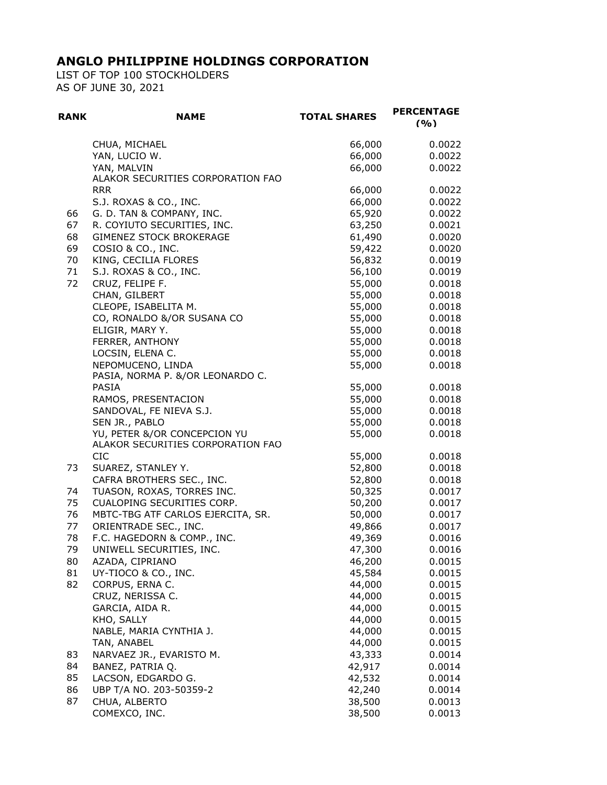LIST OF TOP 100 STOCKHOLDERS AS OF JUNE 30, 2021

| <b>RANK</b> | <b>NAME</b>                                                       | <b>TOTAL SHARES</b> | <b>PERCENTAGE</b><br>(9/0) |
|-------------|-------------------------------------------------------------------|---------------------|----------------------------|
|             | CHUA, MICHAEL                                                     | 66,000              | 0.0022                     |
|             | YAN, LUCIO W.                                                     | 66,000              | 0.0022                     |
|             | YAN, MALVIN                                                       | 66,000              | 0.0022                     |
|             | ALAKOR SECURITIES CORPORATION FAO                                 |                     |                            |
|             | <b>RRR</b>                                                        | 66,000              | 0.0022                     |
|             | S.J. ROXAS & CO., INC.                                            | 66,000              | 0.0022                     |
| 66          | G. D. TAN & COMPANY, INC.                                         | 65,920              | 0.0022                     |
| 67          | R. COYIUTO SECURITIES, INC.                                       | 63,250              | 0.0021                     |
| 68          | <b>GIMENEZ STOCK BROKERAGE</b>                                    | 61,490              | 0.0020                     |
| 69          | COSIO & CO., INC.                                                 | 59,422              | 0.0020                     |
| 70          | KING, CECILIA FLORES                                              | 56,832              | 0.0019                     |
| 71          | S.J. ROXAS & CO., INC.                                            | 56,100              | 0.0019                     |
| 72          | CRUZ, FELIPE F.<br>CHAN, GILBERT                                  | 55,000<br>55,000    | 0.0018<br>0.0018           |
|             | CLEOPE, ISABELITA M.                                              | 55,000              | 0.0018                     |
|             | CO, RONALDO &/OR SUSANA CO                                        | 55,000              | 0.0018                     |
|             | ELIGIR, MARY Y.                                                   | 55,000              | 0.0018                     |
|             | FERRER, ANTHONY                                                   | 55,000              | 0.0018                     |
|             | LOCSIN, ELENA C.                                                  | 55,000              | 0.0018                     |
|             | NEPOMUCENO, LINDA                                                 | 55,000              | 0.0018                     |
|             | PASIA, NORMA P. &/OR LEONARDO C.                                  |                     |                            |
|             | <b>PASIA</b>                                                      | 55,000              | 0.0018                     |
|             | RAMOS, PRESENTACION                                               | 55,000              | 0.0018                     |
|             | SANDOVAL, FE NIEVA S.J.                                           | 55,000              | 0.0018                     |
|             | SEN JR., PABLO                                                    | 55,000              | 0.0018                     |
|             | YU, PETER &/OR CONCEPCION YU<br>ALAKOR SECURITIES CORPORATION FAO | 55,000              | 0.0018                     |
|             | <b>CIC</b>                                                        | 55,000              | 0.0018                     |
| 73          | SUAREZ, STANLEY Y.                                                | 52,800              | 0.0018                     |
|             | CAFRA BROTHERS SEC., INC.                                         | 52,800              | 0.0018                     |
| 74          | TUASON, ROXAS, TORRES INC.                                        | 50,325              | 0.0017                     |
| 75          | CUALOPING SECURITIES CORP.                                        | 50,200              | 0.0017                     |
| 76          | MBTC-TBG ATF CARLOS EJERCITA, SR.                                 | 50,000              | 0.0017                     |
| 77          | ORIENTRADE SEC., INC.                                             | 49,866              | 0.0017                     |
| 78<br>79    | F.C. HAGEDORN & COMP., INC.<br>UNIWELL SECURITIES, INC.           | 49,369              | 0.0016                     |
| 80          | AZADA, CIPRIANO                                                   | 47,300<br>46,200    | 0.0016<br>0.0015           |
| 81          | UY-TIOCO & CO., INC.                                              | 45,584              | 0.0015                     |
| 82          | CORPUS, ERNA C.                                                   | 44,000              | 0.0015                     |
|             | CRUZ, NERISSA C.                                                  | 44,000              | 0.0015                     |
|             | GARCIA, AIDA R.                                                   | 44,000              | 0.0015                     |
|             | KHO, SALLY                                                        | 44,000              | 0.0015                     |
|             | NABLE, MARIA CYNTHIA J.                                           | 44,000              | 0.0015                     |
|             | TAN, ANABEL                                                       | 44,000              | 0.0015                     |
| 83          | NARVAEZ JR., EVARISTO M.                                          | 43,333              | 0.0014                     |
| 84          | BANEZ, PATRIA Q.                                                  | 42,917              | 0.0014                     |
| 85          | LACSON, EDGARDO G.                                                | 42,532              | 0.0014                     |
| 86          | UBP T/A NO. 203-50359-2                                           | 42,240              | 0.0014                     |
| 87          | CHUA, ALBERTO                                                     | 38,500              | 0.0013                     |
|             | COMEXCO, INC.                                                     | 38,500              | 0.0013                     |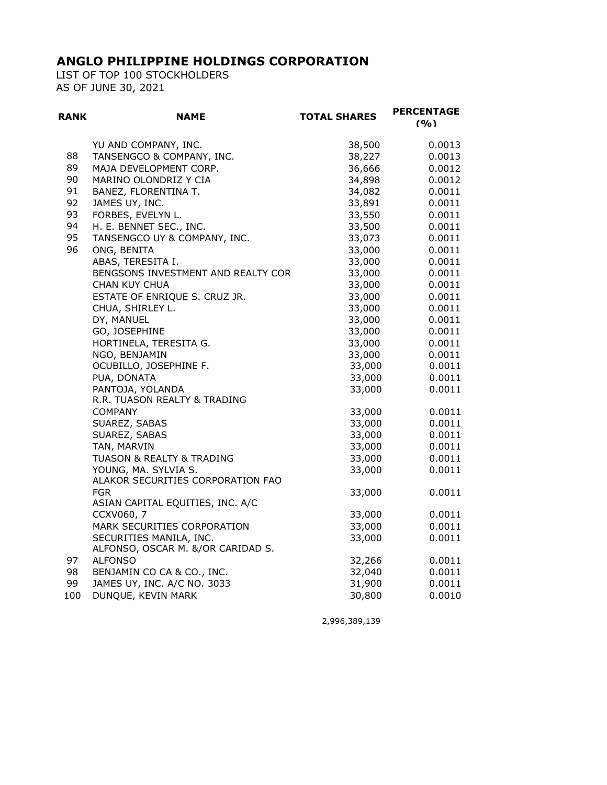LIST OF TOP 100 STOCKHOLDERS AS OF JUNE 30, 2021

| <b>RANK</b> | <b>NAME</b>                                      | <b>TOTAL SHARES</b> | <b>PERCENTAGE</b><br>(9/0) |
|-------------|--------------------------------------------------|---------------------|----------------------------|
|             | YU AND COMPANY, INC.                             | 38,500              | 0.0013                     |
| 88          | TANSENGCO & COMPANY, INC.                        | 38,227              | 0.0013                     |
| 89          | MAJA DEVELOPMENT CORP.                           | 36,666              | 0.0012                     |
| 90          | MARINO OLONDRIZ Y CIA                            | 34,898              | 0.0012                     |
| 91          | BANEZ, FLORENTINA T.                             | 34,082              | 0.0011                     |
| 92          | JAMES UY, INC.                                   | 33,891              | 0.0011                     |
| 93          | FORBES, EVELYN L.                                | 33,550              | 0.0011                     |
| 94          | H. E. BENNET SEC., INC.                          | 33,500              | 0.0011                     |
| 95          | TANSENGCO UY & COMPANY, INC.                     | 33,073              | 0.0011                     |
| 96          | ONG, BENITA                                      | 33,000              | 0.0011                     |
|             | ABAS, TERESITA I.                                | 33,000              | 0.0011                     |
|             | BENGSONS INVESTMENT AND REALTY COR               | 33,000              | 0.0011                     |
|             | <b>CHAN KUY CHUA</b>                             | 33,000              | 0.0011                     |
|             | ESTATE OF ENRIQUE S. CRUZ JR.                    | 33,000              | 0.0011                     |
|             | CHUA, SHIRLEY L.                                 | 33,000              | 0.0011                     |
|             | DY, MANUEL                                       | 33,000              | 0.0011                     |
|             | GO, JOSEPHINE                                    | 33,000              | 0.0011                     |
|             | HORTINELA, TERESITA G.                           | 33,000              | 0.0011                     |
|             | NGO, BENJAMIN                                    | 33,000              | 0.0011                     |
|             | OCUBILLO, JOSEPHINE F.                           | 33,000              | 0.0011                     |
|             | PUA, DONATA                                      | 33,000              | 0.0011                     |
|             | PANTOJA, YOLANDA<br>R.R. TUASON REALTY & TRADING | 33,000              | 0.0011                     |
|             | <b>COMPANY</b>                                   | 33,000              | 0.0011                     |
|             | SUAREZ, SABAS                                    | 33,000              | 0.0011                     |
|             | SUAREZ, SABAS                                    | 33,000              | 0.0011                     |
|             | TAN, MARVIN                                      | 33,000              | 0.0011                     |
|             | TUASON & REALTY & TRADING                        | 33,000              | 0.0011                     |
|             | YOUNG, MA. SYLVIA S.                             | 33,000              | 0.0011                     |
|             | ALAKOR SECURITIES CORPORATION FAO                |                     |                            |
|             | <b>FGR</b><br>ASIAN CAPITAL EQUITIES, INC. A/C   | 33,000              | 0.0011                     |
|             | CCXV060, 7                                       | 33,000              | 0.0011                     |
|             | MARK SECURITIES CORPORATION                      | 33,000              | 0.0011                     |
|             | SECURITIES MANILA, INC.                          | 33,000              | 0.0011                     |
|             | ALFONSO, OSCAR M. &/OR CARIDAD S.                |                     |                            |
| 97          | <b>ALFONSO</b>                                   | 32,266              | 0.0011                     |
| 98          | BENJAMIN CO CA & CO., INC.                       | 32,040              | 0.0011                     |
| 99          | JAMES UY, INC. A/C NO. 3033                      | 31,900              | 0.0011                     |
| 100         | DUNQUE, KEVIN MARK                               | 30,800              | 0.0010                     |

2,996,389,139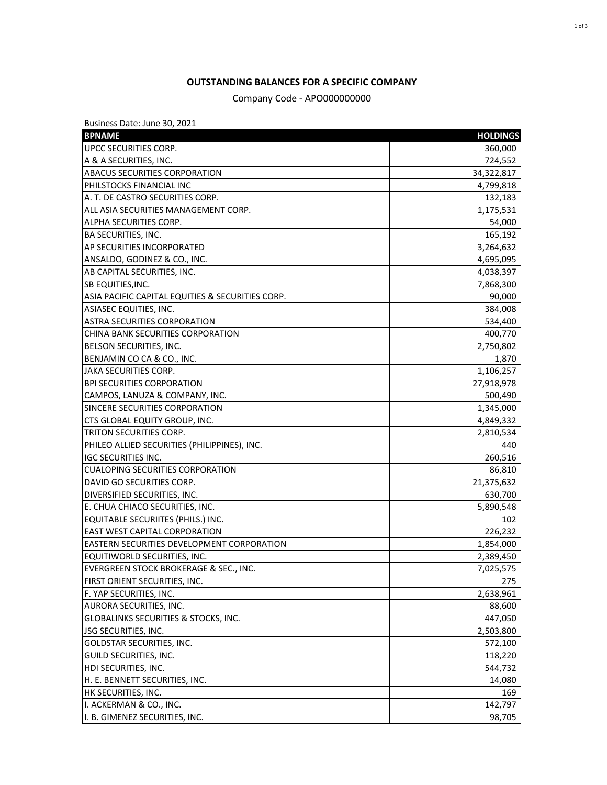#### **OUTSTANDING BALANCES FOR A SPECIFIC COMPANY**

Company Code - APO000000000

| Business Date: June 30, 2021                     |                 |
|--------------------------------------------------|-----------------|
| <b>BPNAME</b>                                    | <b>HOLDINGS</b> |
| <b>UPCC SECURITIES CORP.</b>                     | 360,000         |
| A & A SECURITIES, INC.                           | 724,552         |
| ABACUS SECURITIES CORPORATION                    | 34,322,817      |
| PHILSTOCKS FINANCIAL INC                         | 4,799,818       |
| A. T. DE CASTRO SECURITIES CORP.                 | 132,183         |
| ALL ASIA SECURITIES MANAGEMENT CORP.             | 1,175,531       |
| ALPHA SECURITIES CORP.                           | 54,000          |
| <b>BA SECURITIES, INC.</b>                       | 165,192         |
| AP SECURITIES INCORPORATED                       | 3,264,632       |
| ANSALDO, GODINEZ & CO., INC.                     | 4,695,095       |
| AB CAPITAL SECURITIES, INC.                      | 4,038,397       |
| SB EQUITIES, INC.                                | 7,868,300       |
| ASIA PACIFIC CAPITAL EQUITIES & SECURITIES CORP. | 90,000          |
| ASIASEC EQUITIES, INC.                           | 384,008         |
| <b>ASTRA SECURITIES CORPORATION</b>              | 534,400         |
| CHINA BANK SECURITIES CORPORATION                | 400,770         |
| <b>BELSON SECURITIES, INC.</b>                   | 2,750,802       |
| BENJAMIN CO CA & CO., INC.                       | 1,870           |
| JAKA SECURITIES CORP.                            | 1,106,257       |
| <b>BPI SECURITIES CORPORATION</b>                | 27,918,978      |
| CAMPOS, LANUZA & COMPANY, INC.                   | 500,490         |
| SINCERE SECURITIES CORPORATION                   | 1,345,000       |
| CTS GLOBAL EQUITY GROUP, INC.                    | 4,849,332       |
| TRITON SECURITIES CORP.                          | 2,810,534       |
| PHILEO ALLIED SECURITIES (PHILIPPINES), INC.     | 440             |
| <b>IGC SECURITIES INC.</b>                       | 260,516         |
| <b>CUALOPING SECURITIES CORPORATION</b>          | 86,810          |
| DAVID GO SECURITIES CORP.                        | 21,375,632      |
| DIVERSIFIED SECURITIES, INC.                     | 630,700         |
| E. CHUA CHIACO SECURITIES, INC.                  | 5,890,548       |
| EQUITABLE SECURIITES (PHILS.) INC.               | 102             |
| EAST WEST CAPITAL CORPORATION                    | 226,232         |
| EASTERN SECURITIES DEVELOPMENT CORPORATION       | 1,854,000       |
| EQUITIWORLD SECURITIES, INC.                     | 2,389,450       |
| EVERGREEN STOCK BROKERAGE & SEC., INC.           | 7,025,575       |
| FIRST ORIENT SECURITIES, INC.                    | 275             |
| F. YAP SECURITIES, INC.                          | 2,638,961       |
| AURORA SECURITIES, INC.                          | 88,600          |
| GLOBALINKS SECURITIES & STOCKS, INC.             | 447,050         |
| JSG SECURITIES, INC.                             | 2,503,800       |
| GOLDSTAR SECURITIES, INC.                        | 572,100         |
| GUILD SECURITIES, INC.                           | 118,220         |
| HDI SECURITIES, INC.                             | 544,732         |
| H. E. BENNETT SECURITIES, INC.                   | 14,080          |
| HK SECURITIES, INC.                              | 169             |
| I. ACKERMAN & CO., INC.                          | 142,797         |
| I. B. GIMENEZ SECURITIES, INC.                   | 98,705          |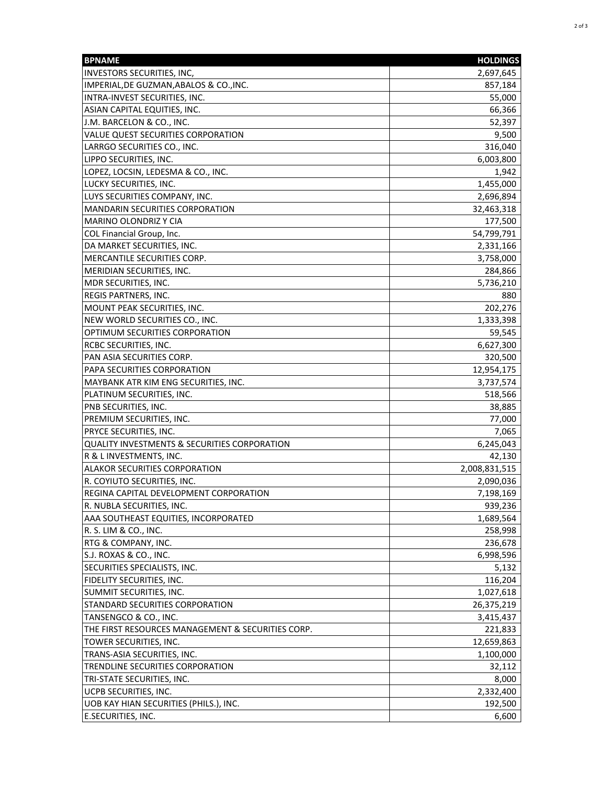| <b>BPNAME</b>                                     | <b>HOLDINGS</b> |
|---------------------------------------------------|-----------------|
| INVESTORS SECURITIES, INC,                        | 2,697,645       |
| IMPERIAL, DE GUZMAN, ABALOS & CO., INC.           | 857,184         |
| INTRA-INVEST SECURITIES, INC.                     | 55,000          |
| ASIAN CAPITAL EQUITIES, INC.                      | 66,366          |
| J.M. BARCELON & CO., INC.                         | 52,397          |
| VALUE QUEST SECURITIES CORPORATION                | 9,500           |
| LARRGO SECURITIES CO., INC.                       | 316,040         |
| LIPPO SECURITIES, INC.                            | 6,003,800       |
| LOPEZ, LOCSIN, LEDESMA & CO., INC.                | 1,942           |
| LUCKY SECURITIES, INC.                            | 1,455,000       |
| LUYS SECURITIES COMPANY, INC.                     | 2,696,894       |
| <b>MANDARIN SECURITIES CORPORATION</b>            | 32,463,318      |
| MARINO OLONDRIZ Y CIA                             | 177,500         |
| COL Financial Group, Inc.                         | 54,799,791      |
| DA MARKET SECURITIES, INC.                        | 2,331,166       |
| MERCANTILE SECURITIES CORP.                       | 3,758,000       |
| MERIDIAN SECURITIES, INC.                         | 284,866         |
| MDR SECURITIES, INC.                              | 5,736,210       |
| <b>REGIS PARTNERS, INC.</b>                       | 880             |
| MOUNT PEAK SECURITIES, INC.                       | 202,276         |
| NEW WORLD SECURITIES CO., INC.                    | 1,333,398       |
| OPTIMUM SECURITIES CORPORATION                    | 59,545          |
| RCBC SECURITIES, INC.                             | 6,627,300       |
| PAN ASIA SECURITIES CORP.                         | 320,500         |
| PAPA SECURITIES CORPORATION                       | 12,954,175      |
| MAYBANK ATR KIM ENG SECURITIES, INC.              | 3,737,574       |
| PLATINUM SECURITIES, INC.                         | 518,566         |
| <b>PNB SECURITIES, INC.</b>                       | 38,885          |
| PREMIUM SECURITIES, INC.                          | 77,000          |
| PRYCE SECURITIES, INC.                            | 7,065           |
| QUALITY INVESTMENTS & SECURITIES CORPORATION      | 6,245,043       |
| R & L INVESTMENTS, INC.                           | 42,130          |
| ALAKOR SECURITIES CORPORATION                     | 2,008,831,515   |
| R. COYIUTO SECURITIES, INC.                       | 2,090,036       |
| REGINA CAPITAL DEVELOPMENT CORPORATION            | 7,198,169       |
| R. NUBLA SECURITIES, INC.                         | 939,236         |
| AAA SOUTHEAST EQUITIES, INCORPORATED              | 1,689,564       |
| R. S. LIM & CO., INC.                             | 258,998         |
| <b>RTG &amp; COMPANY, INC.</b>                    | 236,678         |
| S.J. ROXAS & CO., INC.                            | 6,998,596       |
| SECURITIES SPECIALISTS, INC.                      | 5,132           |
| FIDELITY SECURITIES, INC.                         | 116,204         |
| SUMMIT SECURITIES, INC.                           | 1,027,618       |
| STANDARD SECURITIES CORPORATION                   | 26,375,219      |
| TANSENGCO & CO., INC.                             | 3,415,437       |
| THE FIRST RESOURCES MANAGEMENT & SECURITIES CORP. | 221,833         |
| TOWER SECURITIES, INC.                            | 12,659,863      |
| TRANS-ASIA SECURITIES, INC.                       | 1,100,000       |
| TRENDLINE SECURITIES CORPORATION                  | 32,112          |
| TRI-STATE SECURITIES, INC.                        | 8,000           |
| UCPB SECURITIES, INC.                             | 2,332,400       |
| UOB KAY HIAN SECURITIES (PHILS.), INC.            | 192,500         |
| <b>E.SECURITIES, INC.</b>                         | 6,600           |